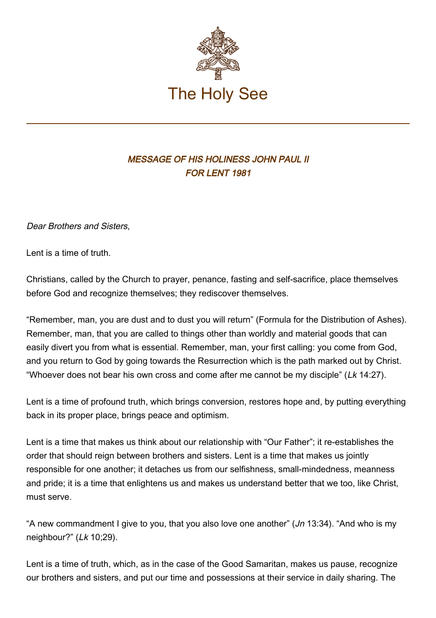

## MESSAGE OF HIS HOLINESS JOHN PAUL II FOR LENT 1981

Dear Brothers and Sisters,

Lent is a time of truth.

Christians, called by the Church to prayer, penance, fasting and self-sacrifice, place themselves before God and recognize themselves; they rediscover themselves.

"Remember, man, you are dust and to dust you will return" (Formula for the Distribution of Ashes). Remember, man, that you are called to things other than worldly and material goods that can easily divert you from what is essential. Remember, man, your first calling: you come from God, and you return to God by going towards the Resurrection which is the path marked out by Christ. "Whoever does not bear his own cross and come after me cannot be my disciple" (Lk 14:27).

Lent is a time of profound truth, which brings conversion, restores hope and, by putting everything back in its proper place, brings peace and optimism.

Lent is a time that makes us think about our relationship with "Our Father"; it re-establishes the order that should reign between brothers and sisters. Lent is a time that makes us jointly responsible for one another; it detaches us from our selfishness, small-mindedness, meanness and pride; it is a time that enlightens us and makes us understand better that we too, like Christ, must serve.

"A new commandment I give to you, that you also love one another" (*Jn* 13:34). "And who is my neighbour?" (Lk 10;29).

Lent is a time of truth, which, as in the case of the Good Samaritan, makes us pause, recognize our brothers and sisters, and put our time and possessions at their service in daily sharing. The